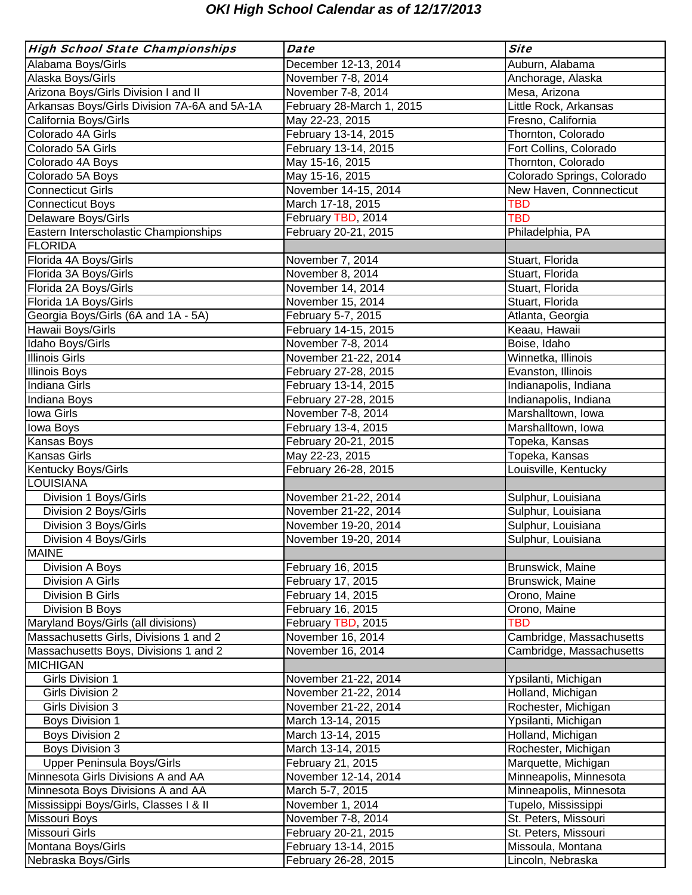# *OKI High School Calendar as of 12/17/2013*

| <b>High School State Championships</b>       | <b>Date</b>               | <b>Site</b>                |
|----------------------------------------------|---------------------------|----------------------------|
| Alabama Boys/Girls                           | December 12-13, 2014      | Auburn, Alabama            |
| Alaska Boys/Girls                            | November 7-8, 2014        | Anchorage, Alaska          |
| Arizona Boys/Girls Division I and II         | November 7-8, 2014        | Mesa, Arizona              |
| Arkansas Boys/Girls Division 7A-6A and 5A-1A | February 28-March 1, 2015 | Little Rock, Arkansas      |
| California Boys/Girls                        | May 22-23, 2015           | Fresno, California         |
| Colorado 4A Girls                            | February 13-14, 2015      | Thornton, Colorado         |
| Colorado 5A Girls                            | February 13-14, 2015      | Fort Collins, Colorado     |
| Colorado 4A Boys                             | May 15-16, 2015           | Thornton, Colorado         |
| Colorado 5A Boys                             | May 15-16, 2015           | Colorado Springs, Colorado |
| <b>Connecticut Girls</b>                     | November 14-15, 2014      | New Haven, Connnecticut    |
| <b>Connecticut Boys</b>                      | March 17-18, 2015         | <b>TBD</b>                 |
| Delaware Boys/Girls                          | February TBD, 2014        | <b>TBD</b>                 |
| Eastern Interscholastic Championships        | February 20-21, 2015      | Philadelphia, PA           |
| <b>FLORIDA</b>                               |                           |                            |
| Florida 4A Boys/Girls                        | November 7, 2014          | Stuart, Florida            |
| Florida 3A Boys/Girls                        | November 8, 2014          | Stuart, Florida            |
| Florida 2A Boys/Girls                        | November 14, 2014         | Stuart, Florida            |
| Florida 1A Boys/Girls                        | November 15, 2014         | Stuart, Florida            |
| Georgia Boys/Girls (6A and 1A - 5A)          | February 5-7, 2015        | Atlanta, Georgia           |
| Hawaii Boys/Girls                            | February 14-15, 2015      | Keaau, Hawaii              |
| Idaho Boys/Girls                             | November 7-8, 2014        | Boise, Idaho               |
| <b>Illinois Girls</b>                        | November 21-22, 2014      | Winnetka, Illinois         |
| <b>Illinois Boys</b>                         | February 27-28, 2015      | Evanston, Illinois         |
| Indiana Girls                                | February 13-14, 2015      | Indianapolis, Indiana      |
| Indiana Boys                                 | February 27-28, 2015      | Indianapolis, Indiana      |
| <b>Iowa Girls</b>                            | November 7-8, 2014        | Marshalltown, Iowa         |
| lowa Boys                                    | February 13-4, 2015       | Marshalltown, Iowa         |
| Kansas Boys                                  | February 20-21, 2015      | Topeka, Kansas             |
| <b>Kansas Girls</b>                          | May 22-23, 2015           | Topeka, Kansas             |
| Kentucky Boys/Girls                          | February 26-28, 2015      | Louisville, Kentucky       |
| <b>LOUISIANA</b>                             |                           |                            |
| Division 1 Boys/Girls                        | November 21-22, 2014      | Sulphur, Louisiana         |
| Division 2 Boys/Girls                        | November 21-22, 2014      | Sulphur, Louisiana         |
| Division 3 Boys/Girls                        | November 19-20, 2014      | Sulphur, Louisiana         |
| Division 4 Boys/Girls                        | November 19-20, 2014      | Sulphur, Louisiana         |
| <b>MAINE</b>                                 |                           |                            |
| Division A Boys                              | February 16, 2015         | Brunswick, Maine           |
| Division A Girls                             | February 17, 2015         | Brunswick, Maine           |
| <b>Division B Girls</b>                      | February 14, 2015         | Orono, Maine               |
| Division B Boys                              | February 16, 2015         | Orono, Maine               |
| Maryland Boys/Girls (all divisions)          | February TBD, 2015        | <b>TBD</b>                 |
| Massachusetts Girls, Divisions 1 and 2       | November 16, 2014         | Cambridge, Massachusetts   |
| Massachusetts Boys, Divisions 1 and 2        | November 16, 2014         | Cambridge, Massachusetts   |
| <b>MICHIGAN</b>                              |                           |                            |
| Girls Division 1                             | November 21-22, 2014      | Ypsilanti, Michigan        |
| Girls Division 2                             | November 21-22, 2014      | Holland, Michigan          |
| Girls Division 3                             | November 21-22, 2014      | Rochester, Michigan        |
| <b>Boys Division 1</b>                       | March 13-14, 2015         | Ypsilanti, Michigan        |
| <b>Boys Division 2</b>                       | March 13-14, 2015         | Holland, Michigan          |
| <b>Boys Division 3</b>                       | March 13-14, 2015         | Rochester, Michigan        |
| Upper Peninsula Boys/Girls                   | February 21, 2015         | Marquette, Michigan        |
| Minnesota Girls Divisions A and AA           | November 12-14, 2014      | Minneapolis, Minnesota     |
| Minnesota Boys Divisions A and AA            | March 5-7, 2015           | Minneapolis, Minnesota     |
| Mississippi Boys/Girls, Classes I & II       | November 1, 2014          | Tupelo, Mississippi        |
| Missouri Boys                                | November 7-8, 2014        | St. Peters, Missouri       |
| Missouri Girls                               | February 20-21, 2015      | St. Peters, Missouri       |
| Montana Boys/Girls                           | February 13-14, 2015      | Missoula, Montana          |
| Nebraska Boys/Girls                          | February 26-28, 2015      | Lincoln, Nebraska          |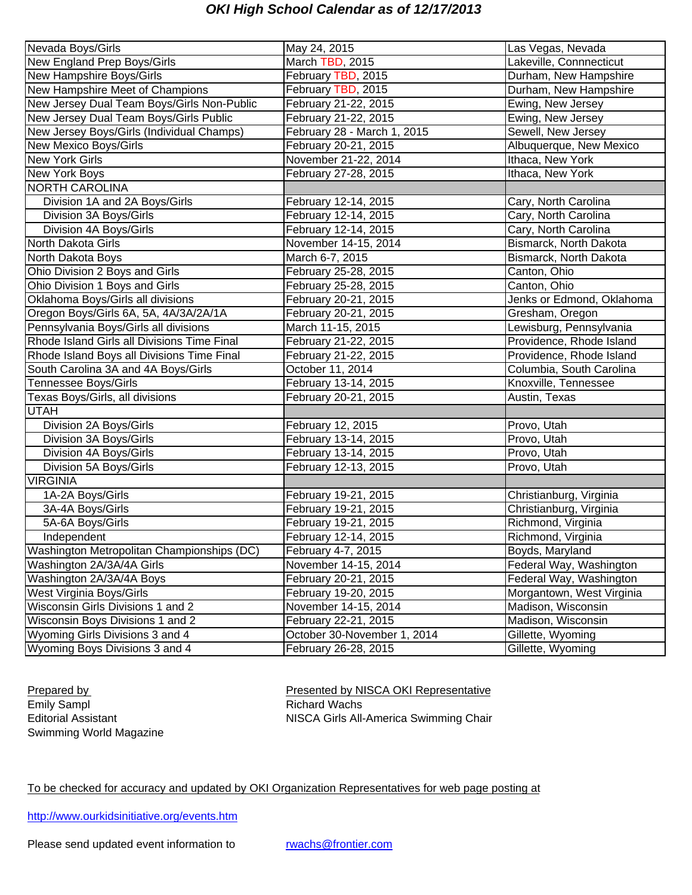## *OKI High School Calendar as of 12/17/2013*

| Nevada Boys/Girls                           | May 24, 2015                | Las Vegas, Nevada         |
|---------------------------------------------|-----------------------------|---------------------------|
| New England Prep Boys/Girls                 | March TBD, 2015             | Lakeville, Connnecticut   |
| New Hampshire Boys/Girls                    | February TBD, 2015          | Durham, New Hampshire     |
| New Hampshire Meet of Champions             | February TBD, 2015          | Durham, New Hampshire     |
| New Jersey Dual Team Boys/Girls Non-Public  | February 21-22, 2015        | Ewing, New Jersey         |
| New Jersey Dual Team Boys/Girls Public      | February 21-22, 2015        | Ewing, New Jersey         |
| New Jersey Boys/Girls (Individual Champs)   | February 28 - March 1, 2015 | Sewell, New Jersey        |
| New Mexico Boys/Girls                       | February 20-21, 2015        | Albuquerque, New Mexico   |
| <b>New York Girls</b>                       | November 21-22, 2014        | Ithaca, New York          |
| New York Boys                               | February 27-28, 2015        | Ithaca, New York          |
| <b>NORTH CAROLINA</b>                       |                             |                           |
| Division 1A and 2A Boys/Girls               | February 12-14, 2015        | Cary, North Carolina      |
| Division 3A Boys/Girls                      | February 12-14, 2015        | Cary, North Carolina      |
| Division 4A Boys/Girls                      | February 12-14, 2015        | Cary, North Carolina      |
| North Dakota Girls                          | November 14-15, 2014        | Bismarck, North Dakota    |
| North Dakota Boys                           | March 6-7, 2015             | Bismarck, North Dakota    |
| Ohio Division 2 Boys and Girls              | February 25-28, 2015        | Canton, Ohio              |
| Ohio Division 1 Boys and Girls              | February 25-28, 2015        | Canton, Ohio              |
| Oklahoma Boys/Girls all divisions           | February 20-21, 2015        | Jenks or Edmond, Oklahoma |
| Oregon Boys/Girls 6A, 5A, 4A/3A/2A/1A       | February 20-21, 2015        | Gresham, Oregon           |
| Pennsylvania Boys/Girls all divisions       | March 11-15, 2015           | Lewisburg, Pennsylvania   |
| Rhode Island Girls all Divisions Time Final | February 21-22, 2015        | Providence, Rhode Island  |
| Rhode Island Boys all Divisions Time Final  | February 21-22, 2015        | Providence, Rhode Island  |
| South Carolina 3A and 4A Boys/Girls         | October 11, 2014            | Columbia, South Carolina  |
| <b>Tennessee Boys/Girls</b>                 | February 13-14, 2015        | Knoxville, Tennessee      |
| Texas Boys/Girls, all divisions             | February 20-21, 2015        | Austin, Texas             |
| <b>UTAH</b>                                 |                             |                           |
| Division 2A Boys/Girls                      | February 12, 2015           | Provo, Utah               |
| Division 3A Boys/Girls                      | February 13-14, 2015        | Provo, Utah               |
| Division 4A Boys/Girls                      | February 13-14, 2015        | Provo, Utah               |
| Division 5A Boys/Girls                      | February 12-13, 2015        | Provo, Utah               |
| <b>VIRGINIA</b>                             |                             |                           |
| 1A-2A Boys/Girls                            | February 19-21, 2015        | Christianburg, Virginia   |
| 3A-4A Boys/Girls                            | February 19-21, 2015        | Christianburg, Virginia   |
| 5A-6A Boys/Girls                            | February 19-21, 2015        | Richmond, Virginia        |
| Independent                                 | February 12-14, 2015        | Richmond, Virginia        |
| Washington Metropolitan Championships (DC)  | February 4-7, 2015          | Boyds, Maryland           |
| Washington 2A/3A/4A Girls                   | November 14-15, 2014        | Federal Way, Washington   |
| Washington 2A/3A/4A Boys                    | February 20-21, 2015        | Federal Way, Washington   |
| West Virginia Boys/Girls                    | February 19-20, 2015        | Morgantown, West Virginia |
| Wisconsin Girls Divisions 1 and 2           | November 14-15, 2014        | Madison, Wisconsin        |
| Wisconsin Boys Divisions 1 and 2            | February 22-21, 2015        | Madison, Wisconsin        |
| Wyoming Girls Divisions 3 and 4             | October 30-November 1, 2014 | Gillette, Wyoming         |
| Wyoming Boys Divisions 3 and 4              | February 26-28, 2015        | Gillette, Wyoming         |

Swimming World Magazine

Prepared by Presented by NISCA OKI Representative<br>
Emily Sampl<br>
Emily Sampl Richard Wachs Editorial Assistant **NISCA Girls All-America Swimming Chair** 

To be checked for accuracy and updated by OKI Organization Representatives for web page posting at

http://www.ourkidsinitiative.org/events.htm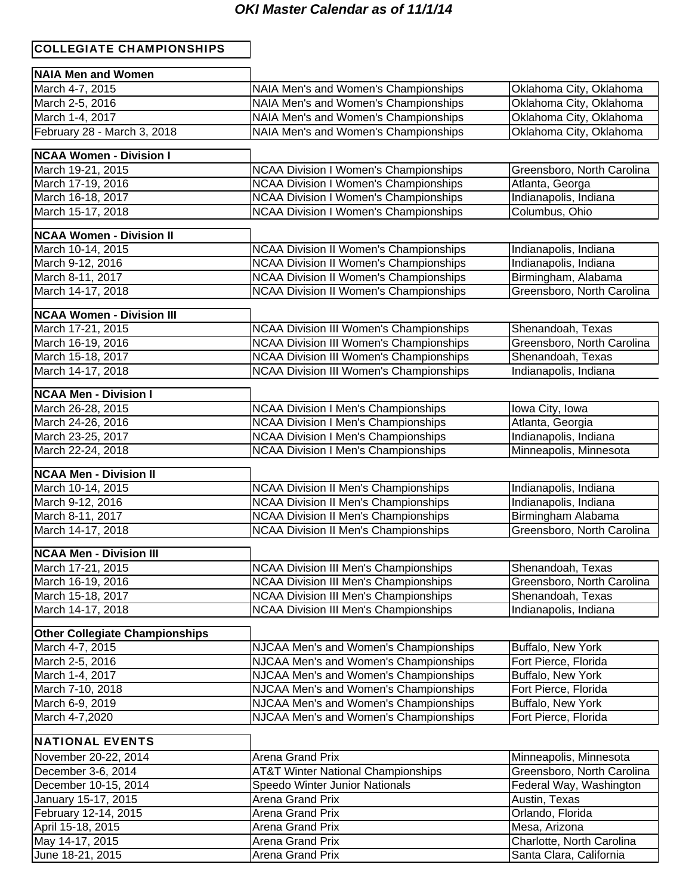### *OKI Master Calendar as of 11/1/14*

### COLLEGIATE CHAMPIONSHIPS

| <b>NAIA Men and Women</b>             |                                                                                |                                            |
|---------------------------------------|--------------------------------------------------------------------------------|--------------------------------------------|
| March 4-7, 2015                       | NAIA Men's and Women's Championships                                           | Oklahoma City, Oklahoma                    |
| March 2-5, 2016                       | NAIA Men's and Women's Championships                                           | Oklahoma City, Oklahoma                    |
| March 1-4, 2017                       | NAIA Men's and Women's Championships                                           | Oklahoma City, Oklahoma                    |
| February 28 - March 3, 2018           | NAIA Men's and Women's Championships                                           | Oklahoma City, Oklahoma                    |
|                                       |                                                                                |                                            |
| <b>NCAA Women - Division I</b>        |                                                                                |                                            |
| March 19-21, 2015                     | <b>NCAA Division I Women's Championships</b>                                   | Greensboro, North Carolina                 |
| March 17-19, 2016                     | <b>NCAA Division I Women's Championships</b>                                   | Atlanta, Georga                            |
| March 16-18, 2017                     | <b>NCAA Division I Women's Championships</b>                                   | Indianapolis, Indiana                      |
| March 15-17, 2018                     | <b>NCAA Division I Women's Championships</b>                                   | Columbus, Ohio                             |
| <b>NCAA Women - Division II</b>       |                                                                                |                                            |
| March 10-14, 2015                     | <b>NCAA Division II Women's Championships</b>                                  | Indianapolis, Indiana                      |
| March 9-12, 2016                      | <b>NCAA Division II Women's Championships</b>                                  | Indianapolis, Indiana                      |
| March 8-11, 2017                      | <b>NCAA Division II Women's Championships</b>                                  | Birmingham, Alabama                        |
| March 14-17, 2018                     | <b>NCAA Division II Women's Championships</b>                                  | Greensboro, North Carolina                 |
| <b>NCAA Women - Division III</b>      |                                                                                |                                            |
| March 17-21, 2015                     | <b>NCAA Division III Women's Championships</b>                                 | Shenandoah, Texas                          |
| March 16-19, 2016                     | <b>NCAA Division III Women's Championships</b>                                 | Greensboro, North Carolina                 |
| March 15-18, 2017                     | NCAA Division III Women's Championships                                        | Shenandoah, Texas                          |
| March 14-17, 2018                     | <b>NCAA Division III Women's Championships</b>                                 | Indianapolis, Indiana                      |
|                                       |                                                                                |                                            |
| <b>NCAA Men - Division I</b>          |                                                                                |                                            |
| March 26-28, 2015                     | <b>NCAA Division I Men's Championships</b>                                     | Iowa City, Iowa                            |
| March 24-26, 2016                     | <b>NCAA Division I Men's Championships</b>                                     | Atlanta, Georgia                           |
| March 23-25, 2017                     | <b>NCAA Division I Men's Championships</b>                                     | Indianapolis, Indiana                      |
| March 22-24, 2018                     | <b>NCAA Division I Men's Championships</b>                                     | Minneapolis, Minnesota                     |
| <b>NCAA Men - Division II</b>         |                                                                                |                                            |
| March 10-14, 2015                     | <b>NCAA Division II Men's Championships</b>                                    | Indianapolis, Indiana                      |
| March 9-12, 2016                      | <b>NCAA Division II Men's Championships</b>                                    | Indianapolis, Indiana                      |
| March 8-11, 2017                      | <b>NCAA Division II Men's Championships</b>                                    | Birmingham Alabama                         |
| March 14-17, 2018                     | <b>NCAA Division II Men's Championships</b>                                    | Greensboro, North Carolina                 |
| <b>NCAA Men - Division III</b>        |                                                                                |                                            |
| March 17-21, 2015                     | <b>NCAA Division III Men's Championships</b>                                   | Shenandoah, Texas                          |
| March 16-19, 2016                     | <b>NCAA Division III Men's Championships</b>                                   | Greensboro, North Carolina                 |
| March 15-18, 2017                     | <b>NCAA Division III Men's Championships</b>                                   | Shenandoah, Texas                          |
| March 14-17, 2018                     | NCAA Division III Men's Championships                                          | Indianapolis, Indiana                      |
|                                       |                                                                                |                                            |
| <b>Other Collegiate Championships</b> |                                                                                |                                            |
| March 4-7, 2015<br>March 2-5, 2016    | NJCAA Men's and Women's Championships                                          | Buffalo, New York<br>Fort Pierce, Florida  |
| March 1-4, 2017                       | NJCAA Men's and Women's Championships<br>NJCAA Men's and Women's Championships | Buffalo, New York                          |
| March 7-10, 2018                      | NJCAA Men's and Women's Championships                                          | Fort Pierce, Florida                       |
| March 6-9, 2019                       | NJCAA Men's and Women's Championships                                          | Buffalo, New York                          |
| March 4-7,2020                        | NJCAA Men's and Women's Championships                                          | Fort Pierce, Florida                       |
|                                       |                                                                                |                                            |
| <b>NATIONAL EVENTS</b>                |                                                                                |                                            |
| November 20-22, 2014                  | Arena Grand Prix                                                               | Minneapolis, Minnesota                     |
| December 3-6, 2014                    | <b>AT&amp;T Winter National Championships</b>                                  | Greensboro, North Carolina                 |
| December 10-15, 2014                  | Speedo Winter Junior Nationals                                                 | Federal Way, Washington                    |
| January 15-17, 2015                   | Arena Grand Prix                                                               | Austin, Texas                              |
| February 12-14, 2015                  | Arena Grand Prix                                                               | Orlando, Florida                           |
| April 15-18, 2015<br>May 14-17, 2015  | Arena Grand Prix<br>Arena Grand Prix                                           | Mesa, Arizona<br>Charlotte, North Carolina |
| June 18-21, 2015                      | Arena Grand Prix                                                               | Santa Clara, California                    |
|                                       |                                                                                |                                            |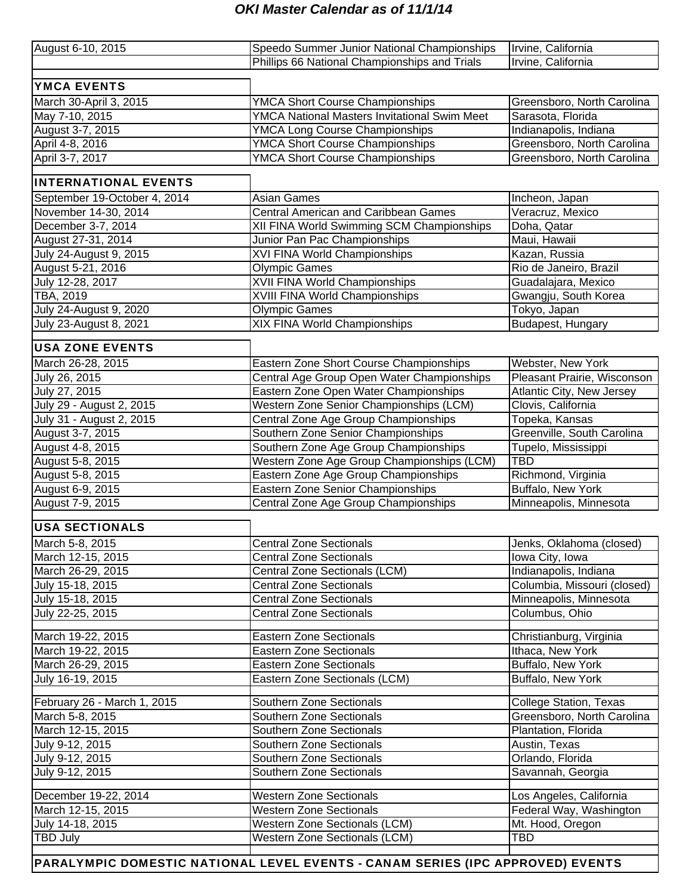### *OKI Master Calendar as of 11/1/14*

| August 6-10, 2015            | Speedo Summer Junior National Championships   | Irvine, California            |
|------------------------------|-----------------------------------------------|-------------------------------|
|                              | Phillips 66 National Championships and Trials | Irvine, California            |
|                              |                                               |                               |
| <b>YMCA EVENTS</b>           |                                               |                               |
| March 30-April 3, 2015       | <b>YMCA Short Course Championships</b>        | Greensboro, North Carolina    |
| May 7-10, 2015               | YMCA National Masters Invitational Swim Meet  | Sarasota, Florida             |
| August 3-7, 2015             | <b>YMCA Long Course Championships</b>         | Indianapolis, Indiana         |
| April 4-8, 2016              | <b>YMCA Short Course Championships</b>        | Greensboro, North Carolina    |
| April 3-7, 2017              | <b>YMCA Short Course Championships</b>        | Greensboro, North Carolina    |
| <b>INTERNATIONAL EVENTS</b>  |                                               |                               |
| September 19-October 4, 2014 | <b>Asian Games</b>                            | Incheon, Japan                |
| November 14-30, 2014         | Central American and Caribbean Games          | Veracruz, Mexico              |
| December 3-7, 2014           | XII FINA World Swimming SCM Championships     | Doha, Qatar                   |
| August 27-31, 2014           | Junior Pan Pac Championships                  | Maui, Hawaii                  |
| July 24-August 9, 2015       | <b>XVI FINA World Championships</b>           | Kazan, Russia                 |
| August 5-21, 2016            | <b>Olympic Games</b>                          | Rio de Janeiro, Brazil        |
| July 12-28, 2017             | <b>XVII FINA World Championships</b>          | Guadalajara, Mexico           |
| TBA, 2019                    | XVIII FINA World Championships                | Gwangju, South Korea          |
| July 24-August 9, 2020       | <b>Olympic Games</b>                          | Tokyo, Japan                  |
| July 23-August 8, 2021       | <b>XIX FINA World Championships</b>           | Budapest, Hungary             |
| <b>USA ZONE EVENTS</b>       |                                               |                               |
| March 26-28, 2015            | Eastern Zone Short Course Championships       | Webster, New York             |
| July 26, 2015                | Central Age Group Open Water Championships    | Pleasant Prairie, Wisconson   |
| July 27, 2015                | Eastern Zone Open Water Championships         | Atlantic City, New Jersey     |
| July 29 - August 2, 2015     | Western Zone Senior Championships (LCM)       | Clovis, California            |
| July 31 - August 2, 2015     | Central Zone Age Group Championships          | Topeka, Kansas                |
| August 3-7, 2015             | Southern Zone Senior Championships            | Greenville, South Carolina    |
| August 4-8, 2015             | Southern Zone Age Group Championships         | Tupelo, Mississippi           |
| August 5-8, 2015             | Western Zone Age Group Championships (LCM)    | <b>TBD</b>                    |
| August 5-8, 2015             | Eastern Zone Age Group Championships          | Richmond, Virginia            |
| August 6-9, 2015             | Eastern Zone Senior Championships             | Buffalo, New York             |
| August 7-9, 2015             | Central Zone Age Group Championships          | Minneapolis, Minnesota        |
|                              |                                               |                               |
| <b>USA SECTIONALS</b>        |                                               |                               |
| March 5-8, 2015              | <b>Central Zone Sectionals</b>                | Jenks, Oklahoma (closed)      |
| March 12-15, 2015            | <b>Central Zone Sectionals</b>                | Iowa City, Iowa               |
| March 26-29, 2015            | Central Zone Sectionals (LCM)                 | Indianapolis, Indiana         |
| July 15-18, 2015             | <b>Central Zone Sectionals</b>                | Columbia, Missouri (closed)   |
| July 15-18, 2015             | <b>Central Zone Sectionals</b>                | Minneapolis, Minnesota        |
| July 22-25, 2015             | <b>Central Zone Sectionals</b>                | Columbus, Ohio                |
| March 19-22, 2015            | <b>Eastern Zone Sectionals</b>                | Christianburg, Virginia       |
| March 19-22, 2015            | <b>Eastern Zone Sectionals</b>                | Ithaca, New York              |
| March 26-29, 2015            | <b>Eastern Zone Sectionals</b>                | Buffalo, New York             |
| July 16-19, 2015             | Eastern Zone Sectionals (LCM)                 | Buffalo, New York             |
| February 26 - March 1, 2015  | Southern Zone Sectionals                      | <b>College Station, Texas</b> |
| March 5-8, 2015              | Southern Zone Sectionals                      | Greensboro, North Carolina    |
| March 12-15, 2015            | Southern Zone Sectionals                      | Plantation, Florida           |
| July 9-12, 2015              | Southern Zone Sectionals                      | Austin, Texas                 |
| July 9-12, 2015              | Southern Zone Sectionals                      | Orlando, Florida              |
| July 9-12, 2015              | Southern Zone Sectionals                      | Savannah, Georgia             |
| December 19-22, 2014         | <b>Western Zone Sectionals</b>                | Los Angeles, California       |
| March 12-15, 2015            | <b>Western Zone Sectionals</b>                | Federal Way, Washington       |
| July 14-18, 2015             | Western Zone Sectionals (LCM)                 | Mt. Hood, Oregon              |
| <b>TBD July</b>              | Western Zone Sectionals (LCM)                 | TBD                           |
|                              |                                               |                               |

PARALYMPIC DOMESTIC NATIONAL LEVEL EVENTS - CANAM SERIES (IPC APPROVED) EVENTS